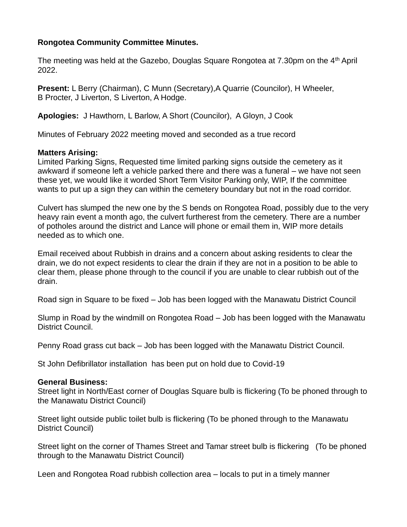## **Rongotea Community Committee Minutes.**

The meeting was held at the Gazebo, Douglas Square Rongotea at 7.30pm on the 4<sup>th</sup> April 2022.

**Present:** L Berry (Chairman), C Munn (Secretary),A Quarrie (Councilor), H Wheeler, B Procter, J Liverton, S Liverton, A Hodge.

**Apologies:** J Hawthorn, L Barlow, A Short (Councilor), A Gloyn, J Cook

Minutes of February 2022 meeting moved and seconded as a true record

## **Matters Arising:**

Limited Parking Signs, Requested time limited parking signs outside the cemetery as it awkward if someone left a vehicle parked there and there was a funeral – we have not seen these yet, we would like it worded Short Term Visitor Parking only, WIP, If the committee wants to put up a sign they can within the cemetery boundary but not in the road corridor.

Culvert has slumped the new one by the S bends on Rongotea Road, possibly due to the very heavy rain event a month ago, the culvert furtherest from the cemetery. There are a number of potholes around the district and Lance will phone or email them in, WIP more details needed as to which one.

Email received about Rubbish in drains and a concern about asking residents to clear the drain, we do not expect residents to clear the drain if they are not in a position to be able to clear them, please phone through to the council if you are unable to clear rubbish out of the drain.

Road sign in Square to be fixed – Job has been logged with the Manawatu District Council

Slump in Road by the windmill on Rongotea Road – Job has been logged with the Manawatu District Council.

Penny Road grass cut back – Job has been logged with the Manawatu District Council.

St John Defibrillator installation has been put on hold due to Covid-19

## **General Business:**

Street light in North/East corner of Douglas Square bulb is flickering (To be phoned through to the Manawatu District Council)

Street light outside public toilet bulb is flickering (To be phoned through to the Manawatu District Council)

Street light on the corner of Thames Street and Tamar street bulb is flickering (To be phoned through to the Manawatu District Council)

Leen and Rongotea Road rubbish collection area – locals to put in a timely manner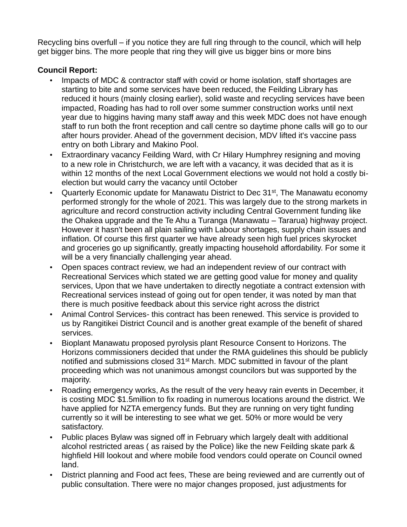Recycling bins overfull – if you notice they are full ring through to the council, which will help get bigger bins. The more people that ring they will give us bigger bins or more bins

## **Council Report:**

- Impacts of MDC & contractor staff with covid or home isolation, staff shortages are starting to bite and some services have been reduced, the Feilding Library has reduced it hours (mainly closing earlier), solid waste and recycling services have been impacted, Roading has had to roll over some summer construction works until next year due to higgins having many staff away and this week MDC does not have enough staff to run both the front reception and call centre so daytime phone calls will go to our after hours provider. Ahead of the government decision, MDV lifted it's vaccine pass entry on both Library and Makino Pool.
- Extraordinary vacancy Feilding Ward, with Cr Hilary Humphrey resigning and moving to a new role in Christchurch, we are left with a vacancy, it was decided that as it is within 12 months of the next Local Government elections we would not hold a costly bielection but would carry the vacancy until October
- Quarterly Economic update for Manawatu District to Dec 31<sup>st</sup>, The Manawatu economy performed strongly for the whole of 2021. This was largely due to the strong markets in agriculture and record construction activity including Central Government funding like the Ohakea upgrade and the Te Ahu a Turanga (Manawatu – Tararua) highway project. However it hasn't been all plain sailing with Labour shortages, supply chain issues and inflation. Of course this first quarter we have already seen high fuel prices skyrocket and groceries go up significantly, greatly impacting household affordability. For some it will be a very financially challenging year ahead.
- Open spaces contract review, we had an independent review of our contract with Recreational Services which stated we are getting good value for money and quality services, Upon that we have undertaken to directly negotiate a contract extension with Recreational services instead of going out for open tender, it was noted by man that there is much positive feedback about this service right across the district
- Animal Control Services- this contract has been renewed. This service is provided to us by Rangitikei District Council and is another great example of the benefit of shared services.
- Bioplant Manawatu proposed pyrolysis plant Resource Consent to Horizons. The Horizons commissioners decided that under the RMA guidelines this should be publicly notified and submissions closed 31<sup>st</sup> March. MDC submitted in favour of the plant proceeding which was not unanimous amongst councilors but was supported by the majority.
- Roading emergency works, As the result of the very heavy rain events in December, it is costing MDC \$1.5million to fix roading in numerous locations around the district. We have applied for NZTA emergency funds. But they are running on very tight funding currently so it will be interesting to see what we get. 50% or more would be very satisfactory.
- Public places Bylaw was signed off in February which largely dealt with additional alcohol restricted areas ( as raised by the Police) like the new Feilding skate park & highfield Hill lookout and where mobile food vendors could operate on Council owned land.
- District planning and Food act fees, These are being reviewed and are currently out of public consultation. There were no major changes proposed, just adjustments for